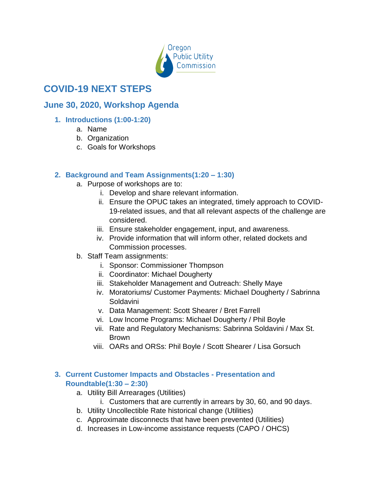

# **COVID-19 NEXT STEPS**

# **June 30, 2020, Workshop Agenda**

## **1. Introductions (1:00-1:20)**

- a. Name
- b. Organization
- c. Goals for Workshops

## **2. Background and Team Assignments(1:20 – 1:30)**

- a. Purpose of workshops are to:
	- i. Develop and share relevant information.
	- ii. Ensure the OPUC takes an integrated, timely approach to COVID-19-related issues, and that all relevant aspects of the challenge are considered.
	- iii. Ensure stakeholder engagement, input, and awareness.
	- iv. Provide information that will inform other, related dockets and Commission processes.
- b. Staff Team assignments:
	- i. Sponsor: Commissioner Thompson
	- ii. Coordinator: Michael Dougherty
	- iii. Stakeholder Management and Outreach: Shelly Maye
	- iv. Moratoriums/ Customer Payments: Michael Dougherty / Sabrinna **Soldavini**
	- v. Data Management: Scott Shearer / Bret Farrell
	- vi. Low Income Programs: Michael Dougherty / Phil Boyle
	- vii. Rate and Regulatory Mechanisms: Sabrinna Soldavini / Max St. Brown
	- viii. OARs and ORSs: Phil Boyle / Scott Shearer / Lisa Gorsuch

#### **3. Current Customer Impacts and Obstacles - Presentation and Roundtable(1:30 – 2:30)**

- a. Utility Bill Arrearages (Utilities)
	- i. Customers that are currently in arrears by 30, 60, and 90 days.
- b. Utility Uncollectible Rate historical change (Utilities)
- c. Approximate disconnects that have been prevented (Utilities)
- d. Increases in Low-income assistance requests (CAPO / OHCS)